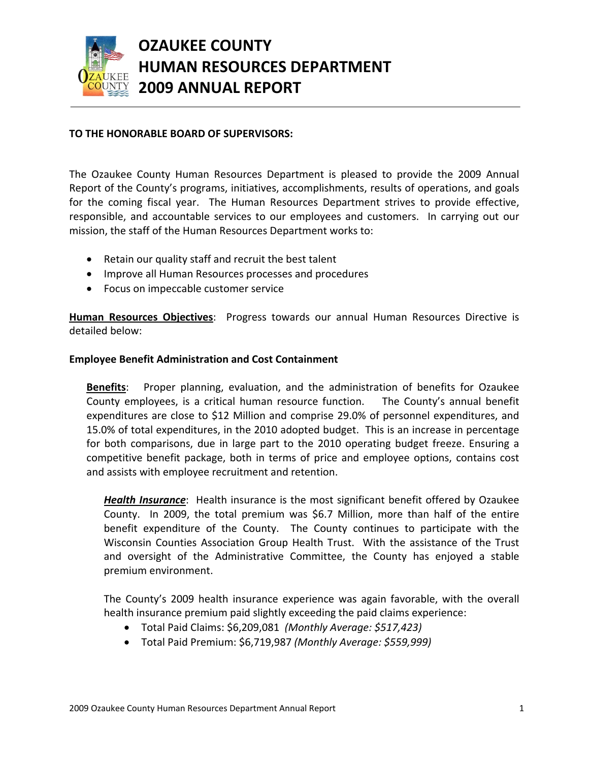

# **OZAUKEE COUNTY HUMAN RESOURCES DEPARTMENT 2009 ANNUAL REPORT**

# **TO THE HONORABLE BOARD OF SUPERVISORS:**

The Ozaukee County Human Resources Department is pleased to provide the 2009 Annual Report of the County's programs, initiatives, accomplishments, results of operations, and goals for the coming fiscal year. The Human Resources Department strives to provide effective, responsible, and accountable services to our employees and customers. In carrying out our mission, the staff of the Human Resources Department works to:

- Retain our quality staff and recruit the best talent
- Improve all Human Resources processes and procedures
- Focus on impeccable customer service

**Human Resources Objectives**: Progress towards our annual Human Resources Directive is detailed below:

## **Employee Benefit Administration and Cost Containment**

**Benefits**: Proper planning, evaluation, and the administration of benefits for Ozaukee County employees, is a critical human resource function. The County's annual benefit expenditures are close to \$12 Million and comprise 29.0% of personnel expenditures, and 15.0% of total expenditures, in the 2010 adopted budget. This is an increase in percentage for both comparisons, due in large part to the 2010 operating budget freeze. Ensuring a competitive benefit package, both in terms of price and employee options, contains cost and assists with employee recruitment and retention.

*Health Insurance*: Health insurance is the most significant benefit offered by Ozaukee County. In 2009, the total premium was \$6.7 Million, more than half of the entire benefit expenditure of the County. The County continues to participate with the Wisconsin Counties Association Group Health Trust. With the assistance of the Trust and oversight of the Administrative Committee, the County has enjoyed a stable premium environment.

The County's 2009 health insurance experience was again favorable, with the overall health insurance premium paid slightly exceeding the paid claims experience:

- Total Paid Claims: \$6,209,081 *(Monthly Average: \$517,423)*
- Total Paid Premium: \$6,719,987 *(Monthly Average: \$559,999)*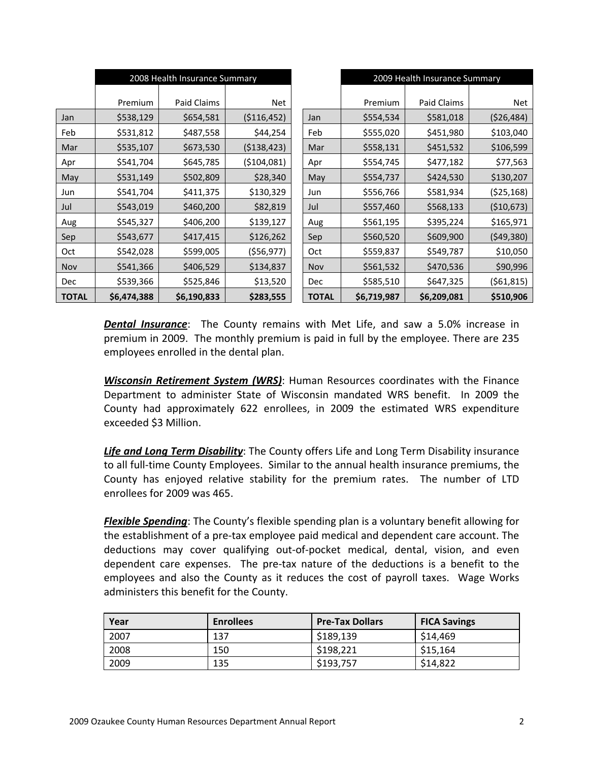|              | 2008 Health Insurance Summary |             |               |              | 2009 Health Insurance Summary |             |            |
|--------------|-------------------------------|-------------|---------------|--------------|-------------------------------|-------------|------------|
|              |                               |             |               |              |                               |             |            |
|              | Premium                       | Paid Claims | Net           |              | Premium                       | Paid Claims | Net        |
| Jan          | \$538,129                     | \$654,581   | ( \$116, 452) | Jan          | \$554,534                     | \$581,018   | (526, 484) |
| Feb          | \$531,812                     | \$487,558   | \$44,254      | Feb          | \$555,020                     | \$451,980   | \$103,040  |
| Mar          | \$535,107                     | \$673,530   | ( \$138, 423) | Mar          | \$558,131                     | \$451,532   | \$106,599  |
| Apr          | \$541,704                     | \$645,785   | ( \$104,081)  | Apr          | \$554,745                     | \$477,182   | \$77,563   |
| May          | \$531,149                     | \$502,809   | \$28,340      | May          | \$554,737                     | \$424,530   | \$130,207  |
| Jun          | \$541,704                     | \$411,375   | \$130,329     | Jun          | \$556,766                     | \$581,934   | (525, 168) |
| Jul          | \$543,019                     | \$460,200   | \$82,819      | Jul          | \$557,460                     | \$568,133   | (\$10,673) |
| Aug          | \$545,327                     | \$406,200   | \$139,127     | Aug          | \$561,195                     | \$395,224   | \$165,971  |
| Sep          | \$543,677                     | \$417,415   | \$126,262     | Sep          | \$560,520                     | \$609,900   | (549, 380) |
| Oct          | \$542,028                     | \$599,005   | ( \$56, 977)  | Oct          | \$559,837                     | \$549,787   | \$10,050   |
| Nov          | \$541,366                     | \$406,529   | \$134,837     | Nov          | \$561,532                     | \$470,536   | \$90,996   |
| Dec          | \$539,366                     | \$525,846   | \$13,520      | <b>Dec</b>   | \$585,510                     | \$647,325   | (561, 815) |
| <b>TOTAL</b> | \$6,474,388                   | \$6,190,833 | \$283,555     | <b>TOTAL</b> | \$6,719,987                   | \$6,209,081 | \$510,906  |

*Dental Insurance*: The County remains with Met Life, and saw a 5.0% increase in premium in 2009. The monthly premium is paid in full by the employee. There are 235 employees enrolled in the dental plan.

*Wisconsin Retirement System (WRS)*: Human Resources coordinates with the Finance Department to administer State of Wisconsin mandated WRS benefit. In 2009 the County had approximately 622 enrollees, in 2009 the estimated WRS expenditure exceeded \$3 Million.

*Life and Long Term Disability*: The County offers Life and Long Term Disability insurance to all full-time County Employees. Similar to the annual health insurance premiums, the County has enjoyed relative stability for the premium rates. The number of LTD enrollees for 2009 was 465.

*Flexible Spending*: The County's flexible spending plan is a voluntary benefit allowing for the establishment of a pre‐tax employee paid medical and dependent care account. The deductions may cover qualifying out‐of‐pocket medical, dental, vision, and even dependent care expenses. The pre‐tax nature of the deductions is a benefit to the employees and also the County as it reduces the cost of payroll taxes. Wage Works administers this benefit for the County.

| Year | <b>Enrollees</b> | <b>Pre-Tax Dollars</b> | <b>FICA Savings</b> |
|------|------------------|------------------------|---------------------|
| 2007 | 137              | \$189,139              | \$14,469            |
| 2008 | 150              | \$198,221              | \$15,164            |
| 2009 | 135              | \$193,757              | \$14,822            |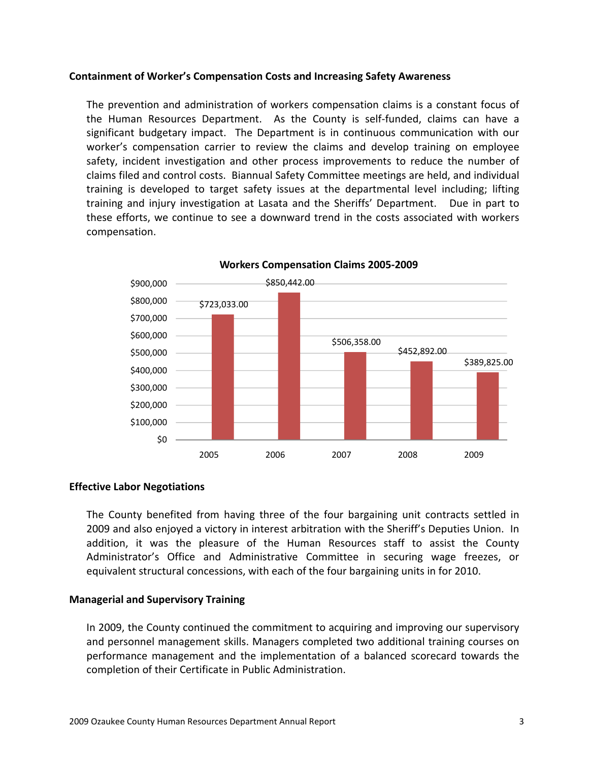### **Containment of Worker's Compensation Costs and Increasing Safety Awareness**

The prevention and administration of workers compensation claims is a constant focus of the Human Resources Department. As the County is self-funded, claims can have a significant budgetary impact. The Department is in continuous communication with our worker's compensation carrier to review the claims and develop training on employee safety, incident investigation and other process improvements to reduce the number of claims filed and control costs. Biannual Safety Committee meetings are held, and individual training is developed to target safety issues at the departmental level including; lifting training and injury investigation at Lasata and the Sheriffs' Department. Due in part to these efforts, we continue to see a downward trend in the costs associated with workers compensation.



**Workers Compensation Claims 2005‐2009**

## **Effective Labor Negotiations**

The County benefited from having three of the four bargaining unit contracts settled in 2009 and also enjoyed a victory in interest arbitration with the Sheriff's Deputies Union. In addition, it was the pleasure of the Human Resources staff to assist the County Administrator's Office and Administrative Committee in securing wage freezes, or equivalent structural concessions, with each of the four bargaining units in for 2010.

#### **Managerial and Supervisory Training**

In 2009, the County continued the commitment to acquiring and improving our supervisory and personnel management skills. Managers completed two additional training courses on performance management and the implementation of a balanced scorecard towards the completion of their Certificate in Public Administration.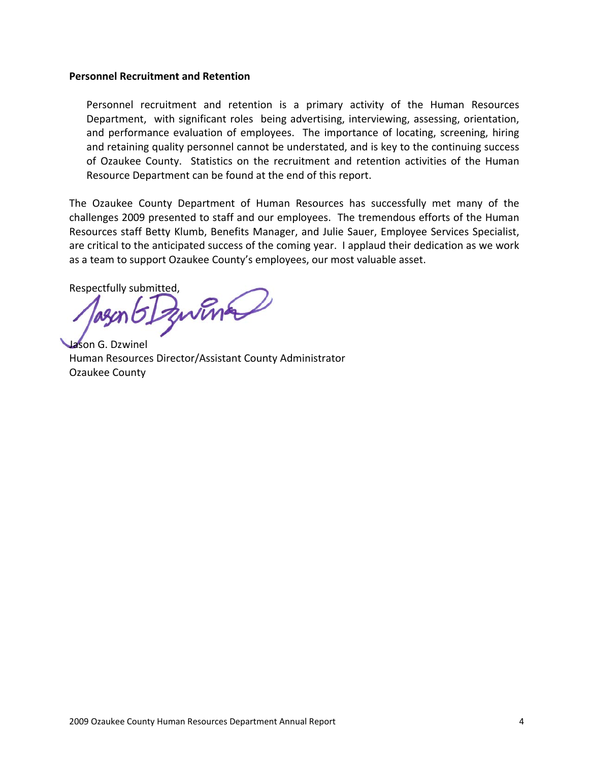#### **Personnel Recruitment and Retention**

Personnel recruitment and retention is a primary activity of the Human Resources Department, with significant roles being advertising, interviewing, assessing, orientation, and performance evaluation of employees. The importance of locating, screening, hiring and retaining quality personnel cannot be understated, and is key to the continuing success of Ozaukee County. Statistics on the recruitment and retention activities of the Human Resource Department can be found at the end of this report.

The Ozaukee County Department of Human Resources has successfully met many of the challenges 2009 presented to staff and our employees. The tremendous efforts of the Human Resources staff Betty Klumb, Benefits Manager, and Julie Sauer, Employee Services Specialist, are critical to the anticipated success of the coming year. I applaud their dedication as we work as a team to support Ozaukee County's employees, our most valuable asset.

Respectfully submitted,

Jason G. Dzwinel Human Resources Director/Assistant County Administrator Ozaukee County